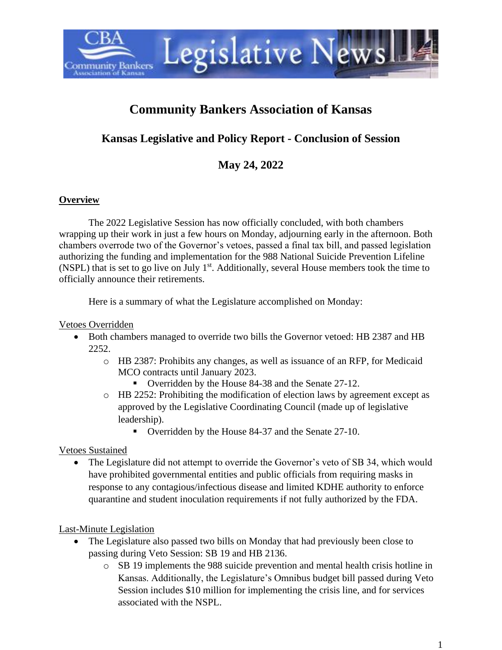

# **Community Bankers Association of Kansas**

## **Kansas Legislative and Policy Report - Conclusion of Session**

**May 24, 2022**

### **Overview**

The 2022 Legislative Session has now officially concluded, with both chambers wrapping up their work in just a few hours on Monday, adjourning early in the afternoon. Both chambers overrode two of the Governor's vetoes, passed a final tax bill, and passed legislation authorizing the funding and implementation for the 988 National Suicide Prevention Lifeline (NSPL) that is set to go live on July 1<sup>st</sup>. Additionally, several House members took the time to officially announce their retirements.

Here is a summary of what the Legislature accomplished on Monday:

#### Vetoes Overridden

- Both chambers managed to override two bills the Governor vetoed: HB 2387 and HB 2252.
	- o HB 2387: Prohibits any changes, as well as issuance of an RFP, for Medicaid MCO contracts until January 2023.
		- Overridden by the House 84-38 and the Senate 27-12.
	- o HB 2252: Prohibiting the modification of election laws by agreement except as approved by the Legislative Coordinating Council (made up of legislative leadership).
		- Overridden by the House 84-37 and the Senate 27-10.

Vetoes Sustained

• The Legislature did not attempt to override the Governor's veto of SB 34, which would have prohibited governmental entities and public officials from requiring masks in response to any contagious/infectious disease and limited KDHE authority to enforce quarantine and student inoculation requirements if not fully authorized by the FDA.

Last-Minute Legislation

- The Legislature also passed two bills on Monday that had previously been close to passing during Veto Session: SB 19 and HB 2136.
	- o SB 19 implements the 988 suicide prevention and mental health crisis hotline in Kansas. Additionally, the Legislature's Omnibus budget bill passed during Veto Session includes \$10 million for implementing the crisis line, and for services associated with the NSPL.